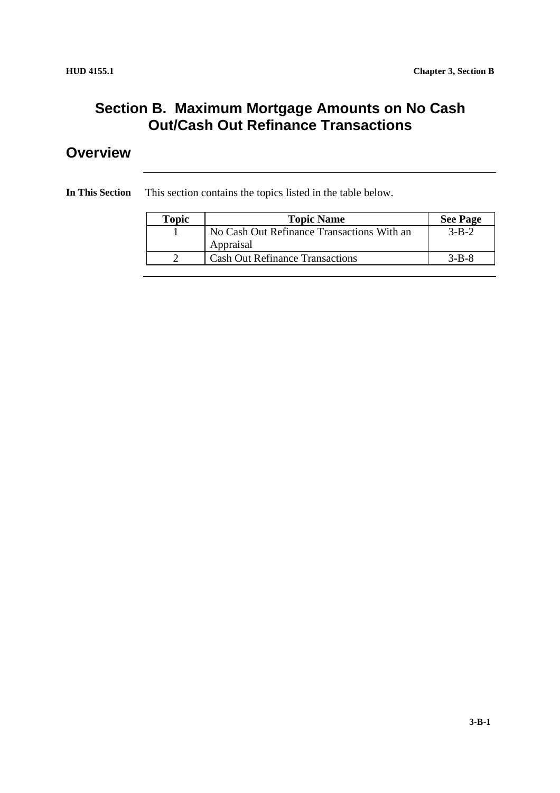## **Section B. Maximum Mortgage Amounts on No Cash Out/Cash Out Refinance Transactions**

## **Overview**

**In This Section** This section contains the topics listed in the table below.

| Topic | <b>Topic Name</b>                          | <b>See Page</b> |
|-------|--------------------------------------------|-----------------|
|       | No Cash Out Refinance Transactions With an | $3 - B - 2$     |
|       | Appraisal                                  |                 |
|       | <b>Cash Out Refinance Transactions</b>     | $3 - B - 8$     |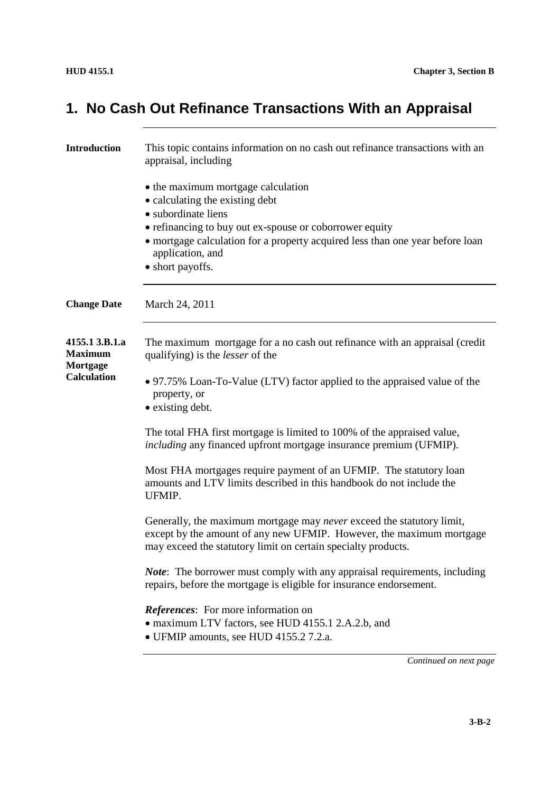# **1. No Cash Out Refinance Transactions With an Appraisal**

| <b>Introduction</b>                          | This topic contains information on no cash out refinance transactions with an<br>appraisal, including                                                                                                                                                                            |
|----------------------------------------------|----------------------------------------------------------------------------------------------------------------------------------------------------------------------------------------------------------------------------------------------------------------------------------|
|                                              | • the maximum mortgage calculation<br>• calculating the existing debt<br>• subordinate liens<br>• refinancing to buy out ex-spouse or coborrower equity<br>• mortgage calculation for a property acquired less than one year before loan<br>application, and<br>• short payoffs. |
| <b>Change Date</b>                           | March 24, 2011                                                                                                                                                                                                                                                                   |
| 4155.1 3.B.1.a<br><b>Maximum</b><br>Mortgage | The maximum mortgage for a no cash out refinance with an appraisal (credit<br>qualifying) is the <i>lesser</i> of the                                                                                                                                                            |
| <b>Calculation</b>                           | • 97.75% Loan-To-Value (LTV) factor applied to the appraised value of the<br>property, or<br>• existing debt.                                                                                                                                                                    |
|                                              | The total FHA first mortgage is limited to 100% of the appraised value,<br><i>including</i> any financed upfront mortgage insurance premium (UFMIP).                                                                                                                             |
|                                              | Most FHA mortgages require payment of an UFMIP. The statutory loan<br>amounts and LTV limits described in this handbook do not include the<br>UFMIP.                                                                                                                             |
|                                              | Generally, the maximum mortgage may never exceed the statutory limit,<br>except by the amount of any new UFMIP. However, the maximum mortgage<br>may exceed the statutory limit on certain specialty products.                                                                   |
|                                              | <b><i>Note</i></b> : The borrower must comply with any appraisal requirements, including<br>repairs, before the mortgage is eligible for insurance endorsement.                                                                                                                  |
|                                              | <b>References:</b> For more information on<br>• maximum LTV factors, see HUD 4155.1 2.A.2.b, and<br>• UFMIP amounts, see HUD 4155.2 7.2.a.                                                                                                                                       |
|                                              | Continued on next page                                                                                                                                                                                                                                                           |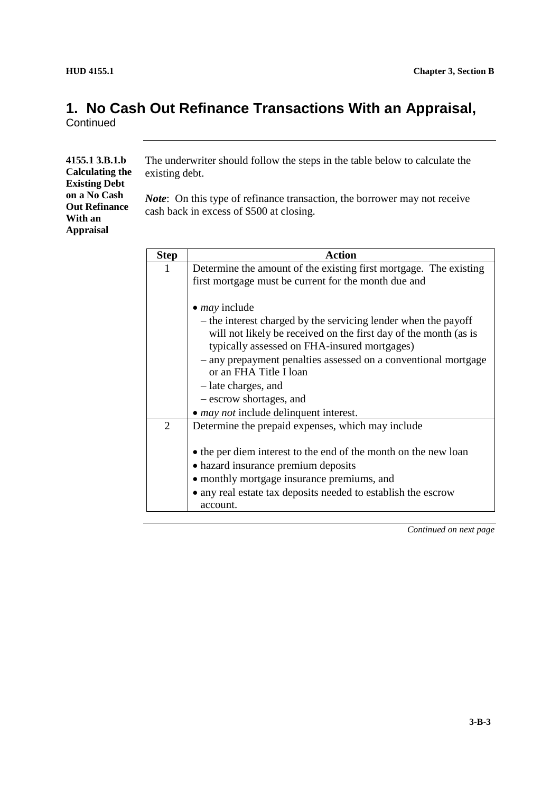### **1. No Cash Out Refinance Transactions With an Appraisal, Continued**

| 4155.1 3.B.1.b         | The underwriter should follow the steps in the table below to calculate the       |
|------------------------|-----------------------------------------------------------------------------------|
| <b>Calculating the</b> | existing debt.                                                                    |
| <b>Existing Debt</b>   |                                                                                   |
| on a No Cash           | <i>Note</i> : On this type of refinance transaction, the borrower may not receive |
| <b>Out Refinance</b>   | cash back in excess of \$500 at closing.                                          |
| With an                |                                                                                   |
| <b>Appraisal</b>       |                                                                                   |
|                        |                                                                                   |

| <b>Step</b> | <b>Action</b>                                                                                                    |
|-------------|------------------------------------------------------------------------------------------------------------------|
| Т.          | Determine the amount of the existing first mortgage. The existing                                                |
|             | first mortgage must be current for the month due and                                                             |
|             |                                                                                                                  |
|             | $\bullet$ <i>may</i> include                                                                                     |
|             | - the interest charged by the servicing lender when the payoff                                                   |
|             | will not likely be received on the first day of the month (as is<br>typically assessed on FHA-insured mortgages) |
|             | - any prepayment penalties assessed on a conventional mortgage<br>or an FHA Title I loan                         |
|             | - late charges, and                                                                                              |
|             | - escrow shortages, and                                                                                          |
|             | • <i>may not</i> include delinquent interest.                                                                    |
| 2           | Determine the prepaid expenses, which may include                                                                |
|             |                                                                                                                  |
|             | • the per diem interest to the end of the month on the new loan                                                  |
|             | • hazard insurance premium deposits                                                                              |
|             | • monthly mortgage insurance premiums, and                                                                       |
|             | • any real estate tax deposits needed to establish the escrow<br>account.                                        |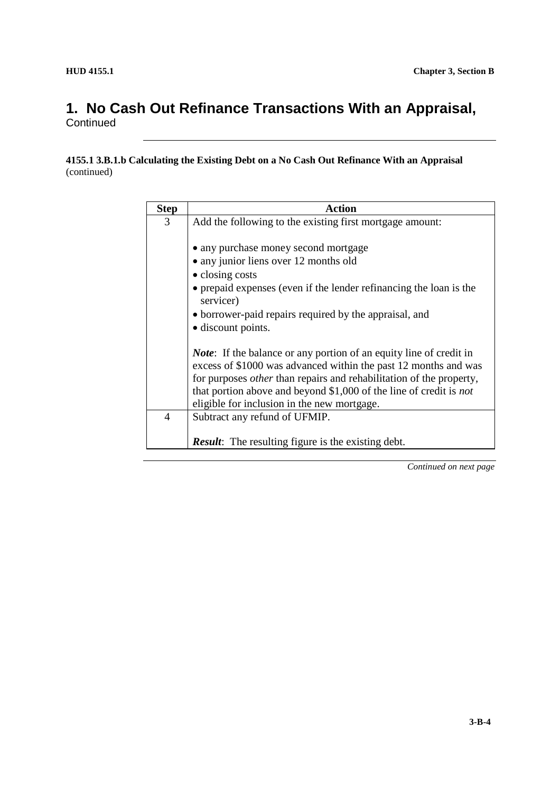### **1. No Cash Out Refinance Transactions With an Appraisal, Continued**

#### **4155.1 3.B.1.b Calculating the Existing Debt on a No Cash Out Refinance With an Appraisal** (continued)

| <b>Step</b>    | <b>Action</b>                                                                                                                                                                                                                                                                                                                                           |  |
|----------------|---------------------------------------------------------------------------------------------------------------------------------------------------------------------------------------------------------------------------------------------------------------------------------------------------------------------------------------------------------|--|
| 3              | Add the following to the existing first mortgage amount:                                                                                                                                                                                                                                                                                                |  |
|                |                                                                                                                                                                                                                                                                                                                                                         |  |
|                | • any purchase money second mortgage                                                                                                                                                                                                                                                                                                                    |  |
|                | • any junior liens over 12 months old                                                                                                                                                                                                                                                                                                                   |  |
|                | • closing costs                                                                                                                                                                                                                                                                                                                                         |  |
|                | • prepaid expenses (even if the lender refinancing the loan is the<br>servicer)                                                                                                                                                                                                                                                                         |  |
|                | • borrower-paid repairs required by the appraisal, and                                                                                                                                                                                                                                                                                                  |  |
|                | • discount points.                                                                                                                                                                                                                                                                                                                                      |  |
|                | <i>Note</i> : If the balance or any portion of an equity line of credit in<br>excess of \$1000 was advanced within the past 12 months and was<br>for purposes <i>other</i> than repairs and rehabilitation of the property,<br>that portion above and beyond \$1,000 of the line of credit is <i>not</i><br>eligible for inclusion in the new mortgage. |  |
| $\overline{4}$ | Subtract any refund of UFMIP.                                                                                                                                                                                                                                                                                                                           |  |
|                | <b>Result:</b> The resulting figure is the existing debt.                                                                                                                                                                                                                                                                                               |  |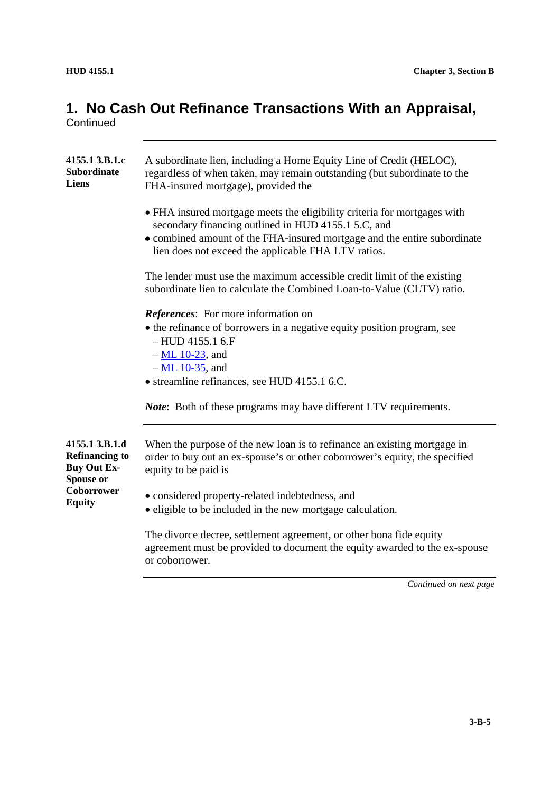# **1. No Cash Out Refinance Transactions With an Appraisal,**

**Continued** 

| 4155.1 3.B.1.c<br><b>Subordinate</b><br>Liens                              | A subordinate lien, including a Home Equity Line of Credit (HELOC),<br>regardless of when taken, may remain outstanding (but subordinate to the<br>FHA-insured mortgage), provided the                                                                             |  |
|----------------------------------------------------------------------------|--------------------------------------------------------------------------------------------------------------------------------------------------------------------------------------------------------------------------------------------------------------------|--|
|                                                                            | • FHA insured mortgage meets the eligibility criteria for mortgages with<br>secondary financing outlined in HUD 4155.1 5.C, and<br>• combined amount of the FHA-insured mortgage and the entire subordinate<br>lien does not exceed the applicable FHA LTV ratios. |  |
|                                                                            | The lender must use the maximum accessible credit limit of the existing<br>subordinate lien to calculate the Combined Loan-to-Value (CLTV) ratio.                                                                                                                  |  |
|                                                                            | <i>References:</i> For more information on<br>• the refinance of borrowers in a negative equity position program, see<br>$-$ HUD 4155.1 6.F<br>$-$ ML 10-23, and<br>$-ML$ 10-35, and                                                                               |  |
|                                                                            | • streamline refinances, see HUD 4155.1 6.C.<br><i>Note</i> : Both of these programs may have different LTV requirements.                                                                                                                                          |  |
|                                                                            |                                                                                                                                                                                                                                                                    |  |
| 4155.1 3.B.1.d<br><b>Refinancing to</b><br><b>Buy Out Ex-</b><br>Spouse or | When the purpose of the new loan is to refinance an existing mortgage in<br>order to buy out an ex-spouse's or other coborrower's equity, the specified<br>equity to be paid is                                                                                    |  |
| Coborrower<br><b>Equity</b>                                                | • considered property-related indebtedness, and<br>• eligible to be included in the new mortgage calculation.                                                                                                                                                      |  |
|                                                                            | The divorce decree, settlement agreement, or other bona fide equity<br>agreement must be provided to document the equity awarded to the ex-spouse<br>or coborrower.                                                                                                |  |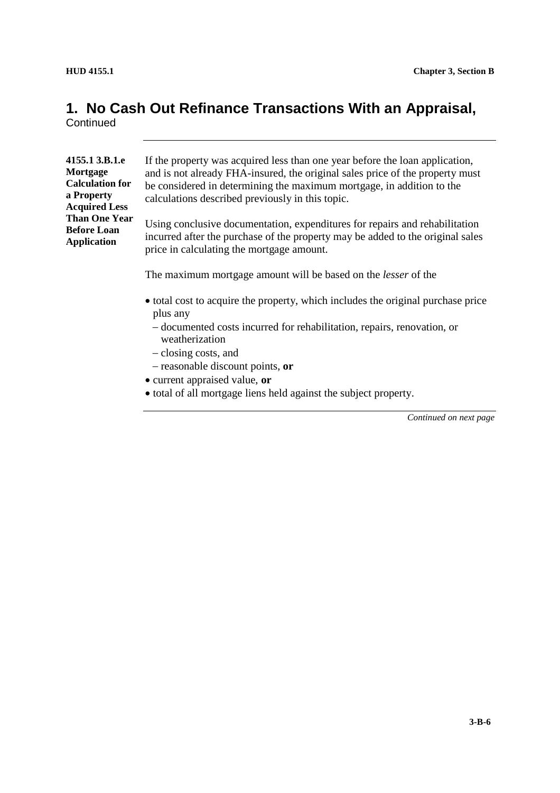# **1. No Cash Out Refinance Transactions With an Appraisal,**

**Continued** 

| 4155.1 3.B.1.e         |
|------------------------|
| Mortgage               |
| <b>Calculation for</b> |
| a Property             |
| <b>Acquired Less</b>   |
| <b>Than One Year</b>   |
| <b>Before Loan</b>     |
| <b>Application</b>     |
|                        |

If the property was acquired less than one year before the loan application, and is not already FHA-insured, the original sales price of the property must be considered in determining the maximum mortgage, in addition to the calculations described previously in this topic.

Using conclusive documentation, expenditures for repairs and rehabilitation incurred after the purchase of the property may be added to the original sales price in calculating the mortgage amount.

The maximum mortgage amount will be based on the *lesser* of the

- total cost to acquire the property, which includes the original purchase price plus any
	- documented costs incurred for rehabilitation, repairs, renovation, or weatherization
	- closing costs, and
	- reasonable discount points, **or**
- current appraised value, **or**
- total of all mortgage liens held against the subject property.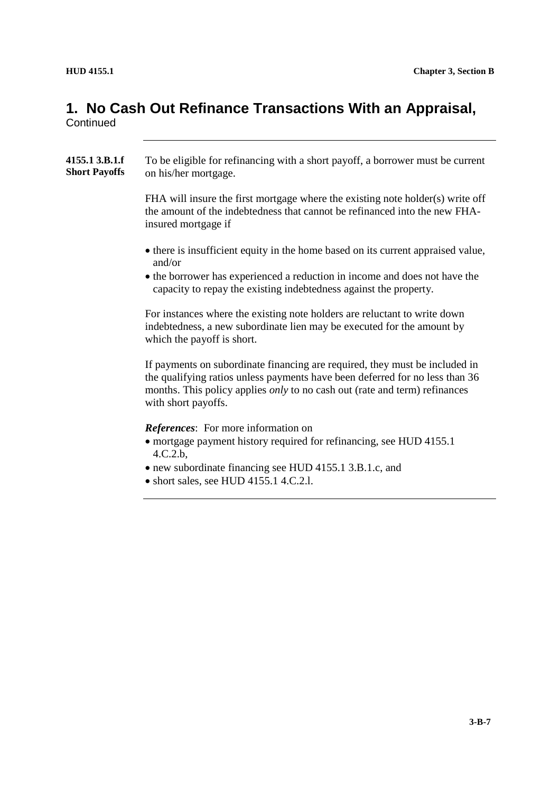# **1. No Cash Out Refinance Transactions With an Appraisal,**

**Continued** 

| 4155.1 3.B.1.f<br><b>Short Payoffs</b> | To be eligible for refinancing with a short payoff, a borrower must be current<br>on his/her mortgage.                                                                                                                                                                  |
|----------------------------------------|-------------------------------------------------------------------------------------------------------------------------------------------------------------------------------------------------------------------------------------------------------------------------|
|                                        | FHA will insure the first mortgage where the existing note holder(s) write off<br>the amount of the indebtedness that cannot be refinanced into the new FHA-<br>insured mortgage if                                                                                     |
|                                        | • there is insufficient equity in the home based on its current appraised value,<br>and/or<br>• the borrower has experienced a reduction in income and does not have the<br>capacity to repay the existing indebtedness against the property.                           |
|                                        | For instances where the existing note holders are reluctant to write down<br>indebtedness, a new subordinate lien may be executed for the amount by<br>which the payoff is short.                                                                                       |
|                                        | If payments on subordinate financing are required, they must be included in<br>the qualifying ratios unless payments have been deferred for no less than 36<br>months. This policy applies <i>only</i> to no cash out (rate and term) refinances<br>with short payoffs. |
|                                        | <i>References:</i> For more information on<br>• mortgage payment history required for refinancing, see HUD 4155.1<br>4.C.2.b,<br>• new subordinate financing see HUD 4155.1 3.B.1.c, and<br>• short sales, see HUD 4155.1 4.C.2.1.                                      |
|                                        |                                                                                                                                                                                                                                                                         |
|                                        |                                                                                                                                                                                                                                                                         |
|                                        |                                                                                                                                                                                                                                                                         |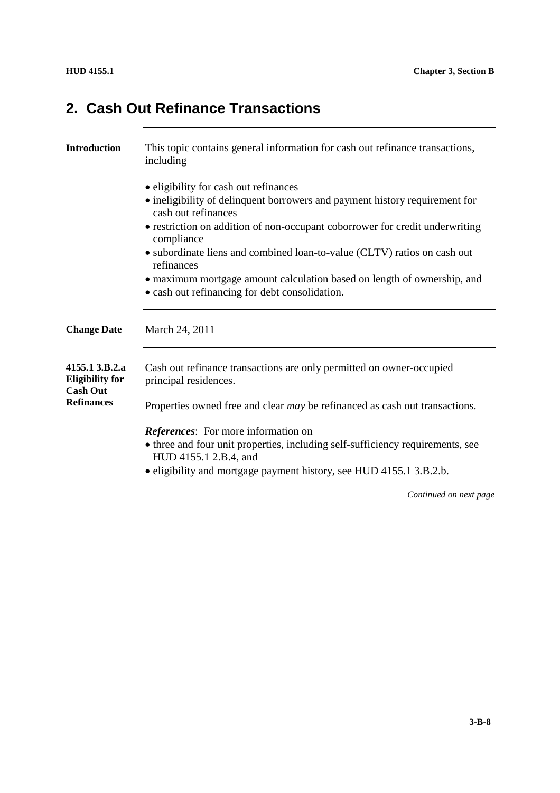## **2. Cash Out Refinance Transactions**

| <b>Introduction</b>                                         | This topic contains general information for cash out refinance transactions,<br>including                                                                                                                                                                                                                             |  |
|-------------------------------------------------------------|-----------------------------------------------------------------------------------------------------------------------------------------------------------------------------------------------------------------------------------------------------------------------------------------------------------------------|--|
|                                                             | • eligibility for cash out refinances<br>• ineligibility of delinquent borrowers and payment history requirement for<br>cash out refinances<br>• restriction on addition of non-occupant coborrower for credit underwriting<br>compliance<br>• subordinate liens and combined loan-to-value (CLTV) ratios on cash out |  |
|                                                             | refinances<br>• maximum mortgage amount calculation based on length of ownership, and<br>• cash out refinancing for debt consolidation.                                                                                                                                                                               |  |
| <b>Change Date</b>                                          | March 24, 2011                                                                                                                                                                                                                                                                                                        |  |
| 4155.1 3.B.2.a<br><b>Eligibility for</b><br><b>Cash Out</b> | Cash out refinance transactions are only permitted on owner-occupied<br>principal residences.                                                                                                                                                                                                                         |  |
| <b>Refinances</b>                                           | Properties owned free and clear <i>may</i> be refinanced as cash out transactions.                                                                                                                                                                                                                                    |  |
|                                                             | <i>References:</i> For more information on<br>• three and four unit properties, including self-sufficiency requirements, see<br>HUD 4155.1 2.B.4, and<br>• eligibility and mortgage payment history, see HUD 4155.1 3.B.2.b.                                                                                          |  |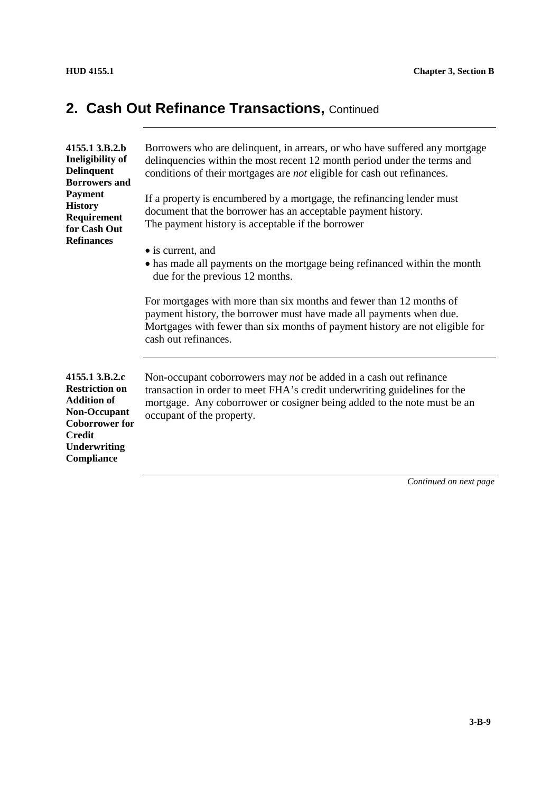| 4155.1 3.B.2.b<br><b>Ineligibility of</b><br><b>Delinquent</b><br><b>Borrowers and</b><br><b>Payment</b><br><b>History</b><br>Requirement<br>for Cash Out<br><b>Refinances</b> | Borrowers who are delinquent, in arrears, or who have suffered any mortgage<br>delinquencies within the most recent 12 month period under the terms and<br>conditions of their mortgages are not eligible for cash out refinances.<br>If a property is encumbered by a mortgage, the refinancing lender must<br>document that the borrower has an acceptable payment history.<br>The payment history is acceptable if the borrower<br>• is current, and<br>• has made all payments on the mortgage being refinanced within the month<br>due for the previous 12 months.<br>For mortgages with more than six months and fewer than 12 months of |
|--------------------------------------------------------------------------------------------------------------------------------------------------------------------------------|------------------------------------------------------------------------------------------------------------------------------------------------------------------------------------------------------------------------------------------------------------------------------------------------------------------------------------------------------------------------------------------------------------------------------------------------------------------------------------------------------------------------------------------------------------------------------------------------------------------------------------------------|
|                                                                                                                                                                                | payment history, the borrower must have made all payments when due.<br>Mortgages with fewer than six months of payment history are not eligible for<br>cash out refinances.                                                                                                                                                                                                                                                                                                                                                                                                                                                                    |
| 4155.1 3.B.2.c<br><b>Restriction on</b><br><b>Addition of</b><br><b>Non-Occupant</b><br><b>Coborrower for</b><br><b>Credit</b><br><b>Underwriting</b><br>Compliance            | Non-occupant coborrowers may <i>not</i> be added in a cash out refinance<br>transaction in order to meet FHA's credit underwriting guidelines for the<br>mortgage. Any coborrower or cosigner being added to the note must be an<br>occupant of the property.                                                                                                                                                                                                                                                                                                                                                                                  |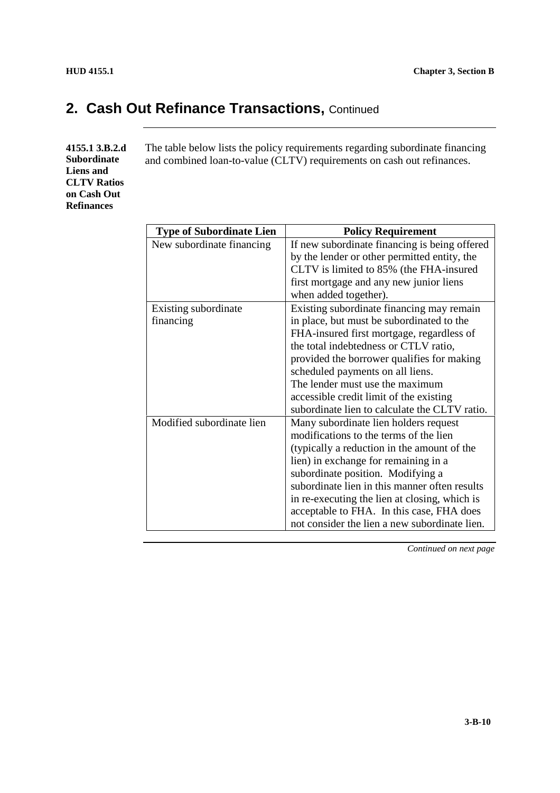**4155.1 3.B.2.d Subordinate Liens and CLTV Ratios on Cash Out Refinances**

The table below lists the policy requirements regarding subordinate financing and combined loan-to-value (CLTV) requirements on cash out refinances.

| <b>Type of Subordinate Lien</b> | <b>Policy Requirement</b>                     |
|---------------------------------|-----------------------------------------------|
| New subordinate financing       | If new subordinate financing is being offered |
|                                 | by the lender or other permitted entity, the  |
|                                 | CLTV is limited to 85% (the FHA-insured       |
|                                 | first mortgage and any new junior liens       |
|                                 | when added together).                         |
| Existing subordinate            | Existing subordinate financing may remain     |
| financing                       | in place, but must be subordinated to the     |
|                                 | FHA-insured first mortgage, regardless of     |
|                                 | the total indebtedness or CTLV ratio,         |
|                                 | provided the borrower qualifies for making    |
|                                 | scheduled payments on all liens.              |
|                                 | The lender must use the maximum               |
|                                 | accessible credit limit of the existing       |
|                                 | subordinate lien to calculate the CLTV ratio. |
| Modified subordinate lien       | Many subordinate lien holders request         |
|                                 | modifications to the terms of the lien        |
|                                 | (typically a reduction in the amount of the   |
|                                 | lien) in exchange for remaining in a          |
|                                 | subordinate position. Modifying a             |
|                                 | subordinate lien in this manner often results |
|                                 | in re-executing the lien at closing, which is |
|                                 | acceptable to FHA. In this case, FHA does     |
|                                 | not consider the lien a new subordinate lien. |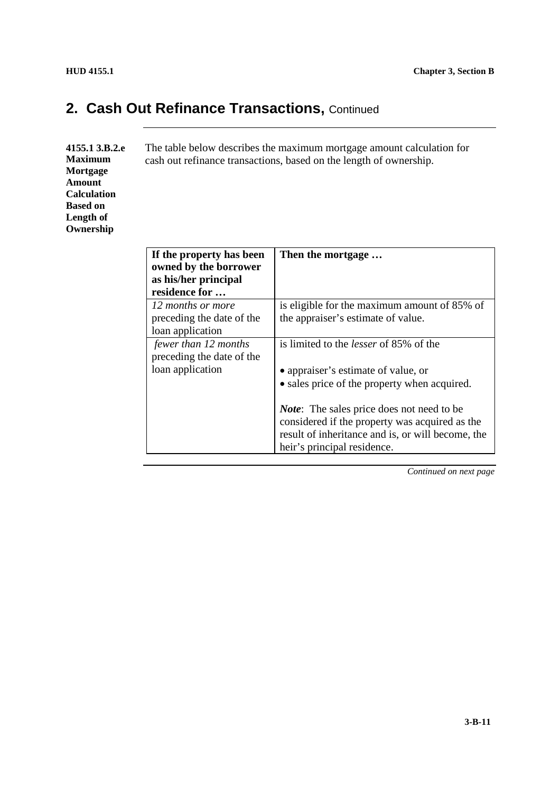| 4155.1 3.B.2.e<br><b>Maximum</b><br>Mortgage<br><b>Amount</b><br><b>Calculation</b><br><b>Based on</b><br>Length of<br>Ownership | The table below describes the maximum mortgage amount calculation for<br>cash out refinance transactions, based on the length of ownership. |                   |
|----------------------------------------------------------------------------------------------------------------------------------|---------------------------------------------------------------------------------------------------------------------------------------------|-------------------|
|                                                                                                                                  | If the property has been                                                                                                                    | Then the mortgage |

| If the property has been<br>owned by the borrower | nen ine mortgage                                                                                    |
|---------------------------------------------------|-----------------------------------------------------------------------------------------------------|
| as his/her principal                              |                                                                                                     |
| residence for                                     |                                                                                                     |
| 12 months or more                                 | is eligible for the maximum amount of 85% of                                                        |
| preceding the date of the                         | the appraiser's estimate of value.                                                                  |
| loan application                                  |                                                                                                     |
| fewer than 12 months                              | is limited to the <i>lesser</i> of 85% of the                                                       |
| preceding the date of the                         |                                                                                                     |
| loan application                                  | • appraiser's estimate of value, or                                                                 |
|                                                   | • sales price of the property when acquired.                                                        |
|                                                   | <i>Note</i> : The sales price does not need to be<br>considered if the property was acquired as the |
|                                                   | result of inheritance and is, or will become, the                                                   |
|                                                   | heir's principal residence.                                                                         |